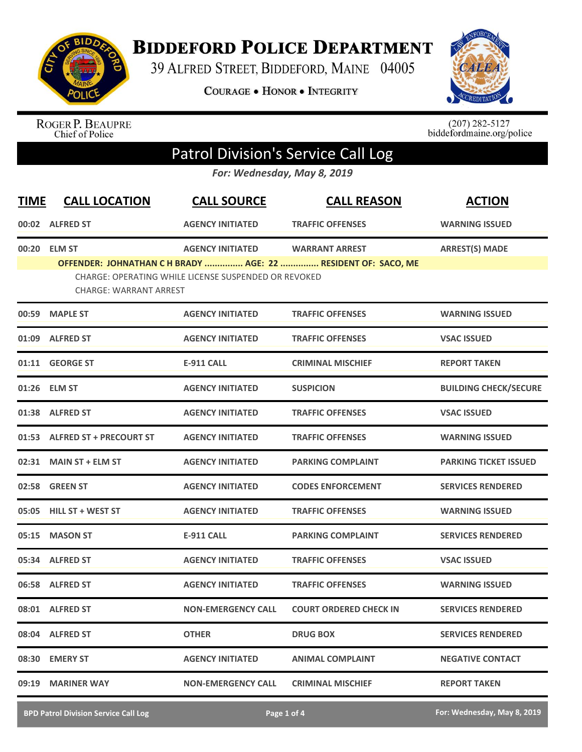

**BIDDEFORD POLICE DEPARTMENT** 

39 ALFRED STREET, BIDDEFORD, MAINE 04005

**COURAGE . HONOR . INTEGRITY** 



ROGER P. BEAUPRE<br>Chief of Police

 $(207)$  282-5127<br>biddefordmaine.org/police

## Patrol Division's Service Call Log

*For: Wednesday, May 8, 2019*

| <b>TIME</b> | <b>CALL LOCATION</b>                          | <b>CALL SOURCE</b>                                                              | <b>CALL REASON</b>                                                                     | <b>ACTION</b>                |
|-------------|-----------------------------------------------|---------------------------------------------------------------------------------|----------------------------------------------------------------------------------------|------------------------------|
|             | 00:02 ALFRED ST                               | <b>AGENCY INITIATED</b>                                                         | <b>TRAFFIC OFFENSES</b>                                                                | <b>WARNING ISSUED</b>        |
|             | 00:20 ELM ST<br><b>CHARGE: WARRANT ARREST</b> | <b>AGENCY INITIATED</b><br>CHARGE: OPERATING WHILE LICENSE SUSPENDED OR REVOKED | <b>WARRANT ARREST</b><br>OFFENDER: JOHNATHAN C H BRADY  AGE: 22  RESIDENT OF: SACO, ME | <b>ARREST(S) MADE</b>        |
|             | 00:59 MAPLE ST                                | <b>AGENCY INITIATED</b>                                                         | <b>TRAFFIC OFFENSES</b>                                                                | <b>WARNING ISSUED</b>        |
|             | 01:09 ALFRED ST                               | <b>AGENCY INITIATED</b>                                                         | <b>TRAFFIC OFFENSES</b>                                                                | <b>VSAC ISSUED</b>           |
|             | 01:11 GEORGE ST                               | <b>E-911 CALL</b>                                                               | <b>CRIMINAL MISCHIEF</b>                                                               | <b>REPORT TAKEN</b>          |
|             | 01:26 ELM ST                                  | <b>AGENCY INITIATED</b>                                                         | <b>SUSPICION</b>                                                                       | <b>BUILDING CHECK/SECURE</b> |
|             | 01:38 ALFRED ST                               | <b>AGENCY INITIATED</b>                                                         | <b>TRAFFIC OFFENSES</b>                                                                | <b>VSAC ISSUED</b>           |
|             | 01:53 ALFRED ST + PRECOURT ST                 | <b>AGENCY INITIATED</b>                                                         | <b>TRAFFIC OFFENSES</b>                                                                | <b>WARNING ISSUED</b>        |
|             | 02:31 MAIN ST + ELM ST                        | <b>AGENCY INITIATED</b>                                                         | <b>PARKING COMPLAINT</b>                                                               | <b>PARKING TICKET ISSUED</b> |
|             | 02:58 GREEN ST                                | <b>AGENCY INITIATED</b>                                                         | <b>CODES ENFORCEMENT</b>                                                               | <b>SERVICES RENDERED</b>     |
|             | 05:05 HILL ST + WEST ST                       | <b>AGENCY INITIATED</b>                                                         | <b>TRAFFIC OFFENSES</b>                                                                | <b>WARNING ISSUED</b>        |
| 05:15       | <b>MASON ST</b>                               | <b>E-911 CALL</b>                                                               | <b>PARKING COMPLAINT</b>                                                               | <b>SERVICES RENDERED</b>     |
|             | 05:34 ALFRED ST                               | <b>AGENCY INITIATED</b>                                                         | <b>TRAFFIC OFFENSES</b>                                                                | <b>VSAC ISSUED</b>           |
|             | 06:58 ALFRED ST                               | <b>AGENCY INITIATED</b>                                                         | <b>TRAFFIC OFFENSES</b>                                                                | <b>WARNING ISSUED</b>        |
|             | 08:01 ALFRED ST                               | <b>NON-EMERGENCY CALL</b>                                                       | <b>COURT ORDERED CHECK IN</b>                                                          | <b>SERVICES RENDERED</b>     |
|             | 08:04 ALFRED ST                               | <b>OTHER</b>                                                                    | <b>DRUG BOX</b>                                                                        | <b>SERVICES RENDERED</b>     |
|             | 08:30 EMERY ST                                | <b>AGENCY INITIATED</b>                                                         | <b>ANIMAL COMPLAINT</b>                                                                | <b>NEGATIVE CONTACT</b>      |
| 09:19       | <b>MARINER WAY</b>                            | <b>NON-EMERGENCY CALL</b>                                                       | <b>CRIMINAL MISCHIEF</b>                                                               | <b>REPORT TAKEN</b>          |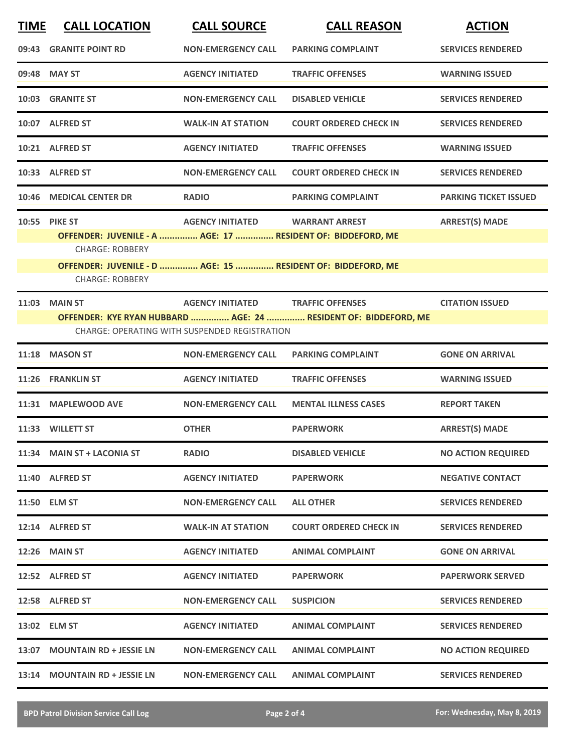| <b>TIME</b> | <b>CALL LOCATION</b>                                                                                                                                                                            | <b>CALL SOURCE</b>                                                              | <b>CALL REASON</b>                                                                         | <b>ACTION</b>                |
|-------------|-------------------------------------------------------------------------------------------------------------------------------------------------------------------------------------------------|---------------------------------------------------------------------------------|--------------------------------------------------------------------------------------------|------------------------------|
|             | 09:43 GRANITE POINT RD                                                                                                                                                                          | <b>NON-EMERGENCY CALL</b>                                                       | <b>PARKING COMPLAINT</b>                                                                   | <b>SERVICES RENDERED</b>     |
|             | 09:48 MAY ST                                                                                                                                                                                    | <b>AGENCY INITIATED</b>                                                         | <b>TRAFFIC OFFENSES</b>                                                                    | <b>WARNING ISSUED</b>        |
|             | 10:03 GRANITE ST                                                                                                                                                                                | <b>NON-EMERGENCY CALL</b>                                                       | <b>DISABLED VEHICLE</b>                                                                    | <b>SERVICES RENDERED</b>     |
|             | 10:07 ALFRED ST                                                                                                                                                                                 | <b>WALK-IN AT STATION</b>                                                       | <b>COURT ORDERED CHECK IN</b>                                                              | <b>SERVICES RENDERED</b>     |
|             | 10:21 ALFRED ST                                                                                                                                                                                 | <b>AGENCY INITIATED</b>                                                         | <b>TRAFFIC OFFENSES</b>                                                                    | <b>WARNING ISSUED</b>        |
|             | 10:33 ALFRED ST                                                                                                                                                                                 | <b>NON-EMERGENCY CALL</b>                                                       | <b>COURT ORDERED CHECK IN</b>                                                              | <b>SERVICES RENDERED</b>     |
| 10:46       | <b>MEDICAL CENTER DR</b>                                                                                                                                                                        | <b>RADIO</b>                                                                    | <b>PARKING COMPLAINT</b>                                                                   | <b>PARKING TICKET ISSUED</b> |
|             | 10:55 PIKE ST<br>OFFENDER: JUVENILE - A  AGE: 17  RESIDENT OF: BIDDEFORD, ME<br><b>CHARGE: ROBBERY</b><br>OFFENDER: JUVENILE - D  AGE: 15  RESIDENT OF: BIDDEFORD, ME<br><b>CHARGE: ROBBERY</b> | <b>AGENCY INITIATED</b>                                                         | <b>WARRANT ARREST</b>                                                                      | <b>ARREST(S) MADE</b>        |
| 11:03       | <b>MAIN ST</b>                                                                                                                                                                                  | <b>AGENCY INITIATED</b><br><b>CHARGE: OPERATING WITH SUSPENDED REGISTRATION</b> | <b>TRAFFIC OFFENSES</b><br>OFFENDER: KYE RYAN HUBBARD  AGE: 24  RESIDENT OF: BIDDEFORD, ME | <b>CITATION ISSUED</b>       |
| 11:18       | <b>MASON ST</b>                                                                                                                                                                                 | <b>NON-EMERGENCY CALL</b>                                                       | <b>PARKING COMPLAINT</b>                                                                   | <b>GONE ON ARRIVAL</b>       |
| 11:26       | <b>FRANKLIN ST</b>                                                                                                                                                                              | <b>AGENCY INITIATED</b>                                                         | <b>TRAFFIC OFFENSES</b>                                                                    | <b>WARNING ISSUED</b>        |
| 11:31       | <b>MAPLEWOOD AVE</b>                                                                                                                                                                            | <b>NON-EMERGENCY CALL</b>                                                       | <b>MENTAL ILLNESS CASES</b>                                                                | <b>REPORT TAKEN</b>          |
|             | 11:33 WILLETT ST                                                                                                                                                                                | <b>OTHER</b>                                                                    | <b>PAPERWORK</b>                                                                           | <b>ARREST(S) MADE</b>        |
|             | 11:34 MAIN ST + LACONIA ST                                                                                                                                                                      | <b>RADIO</b>                                                                    | <b>DISABLED VEHICLE</b>                                                                    | <b>NO ACTION REQUIRED</b>    |
|             | 11:40 ALFRED ST                                                                                                                                                                                 | <b>AGENCY INITIATED</b>                                                         | <b>PAPERWORK</b>                                                                           | <b>NEGATIVE CONTACT</b>      |
|             | 11:50 ELM ST                                                                                                                                                                                    | <b>NON-EMERGENCY CALL</b>                                                       | <b>ALL OTHER</b>                                                                           | <b>SERVICES RENDERED</b>     |
|             | 12:14 ALFRED ST                                                                                                                                                                                 | <b>WALK-IN AT STATION</b>                                                       | <b>COURT ORDERED CHECK IN</b>                                                              | <b>SERVICES RENDERED</b>     |
|             | <b>12:26 MAIN ST</b>                                                                                                                                                                            | <b>AGENCY INITIATED</b>                                                         | <b>ANIMAL COMPLAINT</b>                                                                    | <b>GONE ON ARRIVAL</b>       |
|             | 12:52 ALFRED ST                                                                                                                                                                                 | <b>AGENCY INITIATED</b>                                                         | <b>PAPERWORK</b>                                                                           | <b>PAPERWORK SERVED</b>      |
|             | 12:58 ALFRED ST                                                                                                                                                                                 | <b>NON-EMERGENCY CALL</b>                                                       | <b>SUSPICION</b>                                                                           | <b>SERVICES RENDERED</b>     |
|             | 13:02 ELM ST                                                                                                                                                                                    | <b>AGENCY INITIATED</b>                                                         | <b>ANIMAL COMPLAINT</b>                                                                    | <b>SERVICES RENDERED</b>     |
| 13:07       | <b>MOUNTAIN RD + JESSIE LN</b>                                                                                                                                                                  | <b>NON-EMERGENCY CALL</b>                                                       | <b>ANIMAL COMPLAINT</b>                                                                    | <b>NO ACTION REQUIRED</b>    |
| 13:14       | <b>MOUNTAIN RD + JESSIE LN</b>                                                                                                                                                                  | <b>NON-EMERGENCY CALL</b>                                                       | <b>ANIMAL COMPLAINT</b>                                                                    | <b>SERVICES RENDERED</b>     |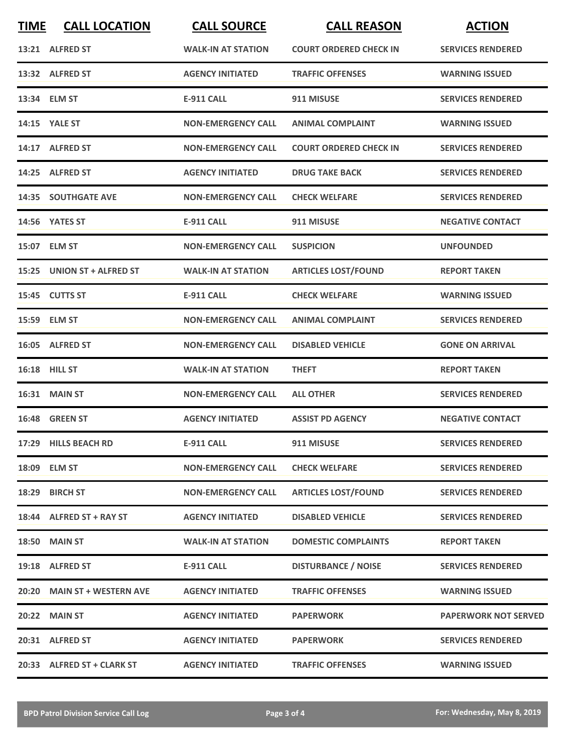| <b>TIME</b> | <b>CALL LOCATION</b>        | <b>CALL SOURCE</b>        | <b>CALL REASON</b>            | <b>ACTION</b>               |
|-------------|-----------------------------|---------------------------|-------------------------------|-----------------------------|
|             | 13:21 ALFRED ST             | <b>WALK-IN AT STATION</b> | <b>COURT ORDERED CHECK IN</b> | <b>SERVICES RENDERED</b>    |
|             | 13:32 ALFRED ST             | <b>AGENCY INITIATED</b>   | <b>TRAFFIC OFFENSES</b>       | <b>WARNING ISSUED</b>       |
|             | 13:34 ELM ST                | <b>E-911 CALL</b>         | 911 MISUSE                    | <b>SERVICES RENDERED</b>    |
|             | 14:15 YALE ST               | <b>NON-EMERGENCY CALL</b> | <b>ANIMAL COMPLAINT</b>       | <b>WARNING ISSUED</b>       |
|             | 14:17 ALFRED ST             | <b>NON-EMERGENCY CALL</b> | <b>COURT ORDERED CHECK IN</b> | <b>SERVICES RENDERED</b>    |
|             | 14:25 ALFRED ST             | <b>AGENCY INITIATED</b>   | <b>DRUG TAKE BACK</b>         | <b>SERVICES RENDERED</b>    |
|             | <b>14:35 SOUTHGATE AVE</b>  | <b>NON-EMERGENCY CALL</b> | <b>CHECK WELFARE</b>          | <b>SERVICES RENDERED</b>    |
|             | 14:56 YATES ST              | <b>E-911 CALL</b>         | 911 MISUSE                    | <b>NEGATIVE CONTACT</b>     |
|             | 15:07 ELM ST                | <b>NON-EMERGENCY CALL</b> | <b>SUSPICION</b>              | <b>UNFOUNDED</b>            |
|             | 15:25 UNION ST + ALFRED ST  | <b>WALK-IN AT STATION</b> | <b>ARTICLES LOST/FOUND</b>    | <b>REPORT TAKEN</b>         |
|             | 15:45 CUTTS ST              | <b>E-911 CALL</b>         | <b>CHECK WELFARE</b>          | <b>WARNING ISSUED</b>       |
|             | 15:59 ELM ST                | <b>NON-EMERGENCY CALL</b> | <b>ANIMAL COMPLAINT</b>       | <b>SERVICES RENDERED</b>    |
|             | 16:05 ALFRED ST             | <b>NON-EMERGENCY CALL</b> | <b>DISABLED VEHICLE</b>       | <b>GONE ON ARRIVAL</b>      |
|             | 16:18 HILL ST               | <b>WALK-IN AT STATION</b> | <b>THEFT</b>                  | <b>REPORT TAKEN</b>         |
|             | 16:31 MAIN ST               | <b>NON-EMERGENCY CALL</b> | <b>ALL OTHER</b>              | <b>SERVICES RENDERED</b>    |
|             | 16:48 GREEN ST              | <b>AGENCY INITIATED</b>   | <b>ASSIST PD AGENCY</b>       | <b>NEGATIVE CONTACT</b>     |
|             | 17:29 HILLS BEACH RD        | <b>E-911 CALL</b>         | 911 MISUSE                    | <b>SERVICES RENDERED</b>    |
|             | 18:09 ELM ST                | <b>NON-EMERGENCY CALL</b> | <b>CHECK WELFARE</b>          | <b>SERVICES RENDERED</b>    |
|             | 18:29 BIRCH ST              | <b>NON-EMERGENCY CALL</b> | <b>ARTICLES LOST/FOUND</b>    | <b>SERVICES RENDERED</b>    |
|             | 18:44 ALFRED ST + RAY ST    | <b>AGENCY INITIATED</b>   | <b>DISABLED VEHICLE</b>       | <b>SERVICES RENDERED</b>    |
|             | <b>18:50 MAIN ST</b>        | <b>WALK-IN AT STATION</b> | <b>DOMESTIC COMPLAINTS</b>    | <b>REPORT TAKEN</b>         |
|             | 19:18 ALFRED ST             | <b>E-911 CALL</b>         | <b>DISTURBANCE / NOISE</b>    | <b>SERVICES RENDERED</b>    |
|             | 20:20 MAIN ST + WESTERN AVE | <b>AGENCY INITIATED</b>   | <b>TRAFFIC OFFENSES</b>       | <b>WARNING ISSUED</b>       |
|             | 20:22 MAIN ST               | <b>AGENCY INITIATED</b>   | <b>PAPERWORK</b>              | <b>PAPERWORK NOT SERVED</b> |
|             | 20:31 ALFRED ST             | <b>AGENCY INITIATED</b>   | <b>PAPERWORK</b>              | <b>SERVICES RENDERED</b>    |
|             | 20:33 ALFRED ST + CLARK ST  | <b>AGENCY INITIATED</b>   | <b>TRAFFIC OFFENSES</b>       | <b>WARNING ISSUED</b>       |